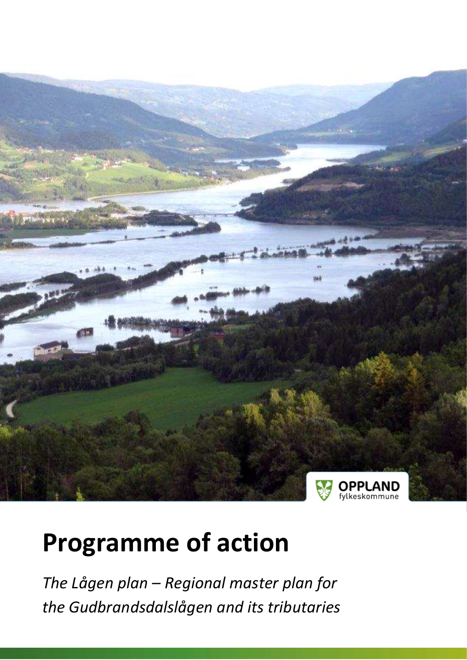

# **Programme of action**

*The Lågen plan – Regional master plan for the Gudbrandsdalslågen and its tributaries*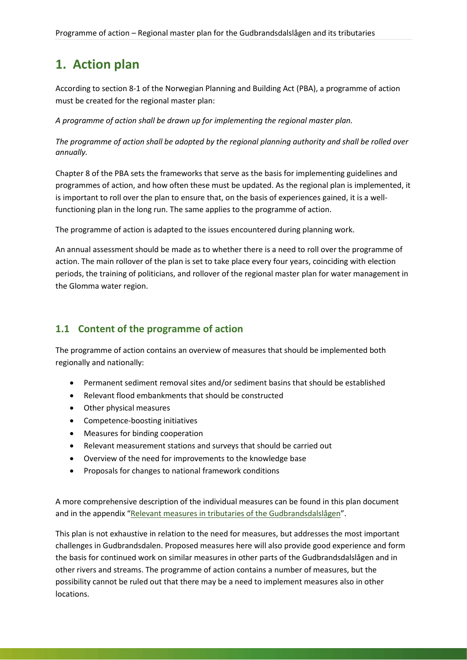# **1. Action plan**

According to section 8-1 of the Norwegian Planning and Building Act (PBA), a programme of action must be created for the regional master plan:

*A programme of action shall be drawn up for implementing the regional master plan.*

*The programme of action shall be adopted by the regional planning authority and shall be rolled over annually.*

Chapter 8 of the PBA sets the frameworks that serve as the basis for implementing guidelines and programmes of action, and how often these must be updated. As the regional plan is implemented, it is important to roll over the plan to ensure that, on the basis of experiences gained, it is a wellfunctioning plan in the long run. The same applies to the programme of action.

The programme of action is adapted to the issues encountered during planning work.

An annual assessment should be made as to whether there is a need to roll over the programme of action. The main rollover of the plan is set to take place every four years, coinciding with election periods, the training of politicians, and rollover of the regional master plan for water management in the Glomma water region.

#### **1.1 Content of the programme of action**

The programme of action contains an overview of measures that should be implemented both regionally and nationally:

- Permanent sediment removal sites and/or sediment basins that should be established
- Relevant flood embankments that should be constructed
- Other physical measures
- Competence-boosting initiatives
- Measures for binding cooperation
- Relevant measurement stations and surveys that should be carried out
- Overview of the need for improvements to the knowledge base
- Proposals for changes to national framework conditions

A more comprehensive description of the individual measures can be found in this plan document and in the appendix "[Relevant measures in tributaries of the Gudbrandsdalslågen](https://www.oppland.no/Handlers/fh.ashx?MId1=2662&FilId=6473)".

This plan is not exhaustive in relation to the need for measures, but addresses the most important challenges in Gudbrandsdalen. Proposed measures here will also provide good experience and form the basis for continued work on similar measures in other parts of the Gudbrandsdalslågen and in other rivers and streams. The programme of action contains a number of measures, but the possibility cannot be ruled out that there may be a need to implement measures also in other locations.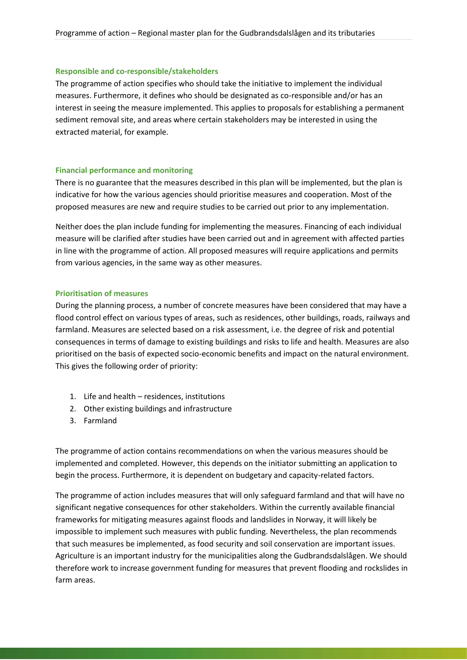#### **Responsible and co-responsible/stakeholders**

The programme of action specifies who should take the initiative to implement the individual measures. Furthermore, it defines who should be designated as co-responsible and/or has an interest in seeing the measure implemented. This applies to proposals for establishing a permanent sediment removal site, and areas where certain stakeholders may be interested in using the extracted material, for example.

#### **Financial performance and monitoring**

There is no guarantee that the measures described in this plan will be implemented, but the plan is indicative for how the various agencies should prioritise measures and cooperation. Most of the proposed measures are new and require studies to be carried out prior to any implementation.

Neither does the plan include funding for implementing the measures. Financing of each individual measure will be clarified after studies have been carried out and in agreement with affected parties in line with the programme of action. All proposed measures will require applications and permits from various agencies, in the same way as other measures.

#### **Prioritisation of measures**

During the planning process, a number of concrete measures have been considered that may have a flood control effect on various types of areas, such as residences, other buildings, roads, railways and farmland. Measures are selected based on a risk assessment, i.e. the degree of risk and potential consequences in terms of damage to existing buildings and risks to life and health. Measures are also prioritised on the basis of expected socio-economic benefits and impact on the natural environment. This gives the following order of priority:

- 1. Life and health residences, institutions
- 2. Other existing buildings and infrastructure
- 3. Farmland

The programme of action contains recommendations on when the various measures should be implemented and completed. However, this depends on the initiator submitting an application to begin the process. Furthermore, it is dependent on budgetary and capacity-related factors.

The programme of action includes measures that will only safeguard farmland and that will have no significant negative consequences for other stakeholders. Within the currently available financial frameworks for mitigating measures against floods and landslides in Norway, it will likely be impossible to implement such measures with public funding. Nevertheless, the plan recommends that such measures be implemented, as food security and soil conservation are important issues. Agriculture is an important industry for the municipalities along the Gudbrandsdalslågen. We should therefore work to increase government funding for measures that prevent flooding and rockslides in farm areas.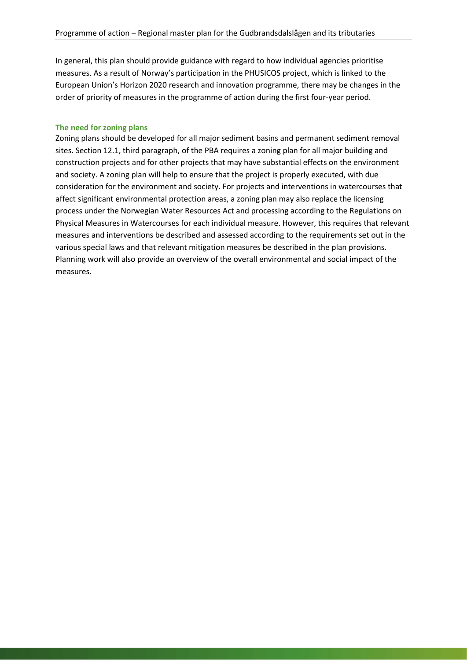In general, this plan should provide guidance with regard to how individual agencies prioritise measures. As a result of Norway's participation in the PHUSICOS project, which is linked to the European Union's Horizon 2020 research and innovation programme, there may be changes in the order of priority of measures in the programme of action during the first four-year period.

#### **The need for zoning plans**

Zoning plans should be developed for all major sediment basins and permanent sediment removal sites. Section 12.1, third paragraph, of the PBA requires a zoning plan for all major building and construction projects and for other projects that may have substantial effects on the environment and society. A zoning plan will help to ensure that the project is properly executed, with due consideration for the environment and society. For projects and interventions in watercourses that affect significant environmental protection areas, a zoning plan may also replace the licensing process under the Norwegian Water Resources Act and processing according to the Regulations on Physical Measures in Watercourses for each individual measure. However, this requires that relevant measures and interventions be described and assessed according to the requirements set out in the various special laws and that relevant mitigation measures be described in the plan provisions. Planning work will also provide an overview of the overall environmental and social impact of the measures.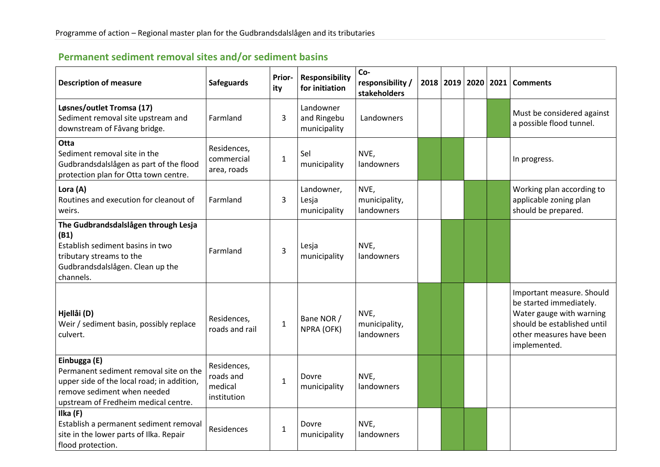| Permanent sediment removal sites and/or sediment basins |  |  |  |
|---------------------------------------------------------|--|--|--|
|---------------------------------------------------------|--|--|--|

| <b>Description of measure</b>                                                                                                                                               | <b>Safeguards</b>                                  | Prior-<br>ity | <b>Responsibility</b><br>for initiation  | Co-<br>responsibility /<br>stakeholders |  | 2018 2019 2020 | 2021 | <b>Comments</b>                                                                                                                                             |
|-----------------------------------------------------------------------------------------------------------------------------------------------------------------------------|----------------------------------------------------|---------------|------------------------------------------|-----------------------------------------|--|----------------|------|-------------------------------------------------------------------------------------------------------------------------------------------------------------|
| Løsnes/outlet Tromsa (17)<br>Sediment removal site upstream and<br>downstream of Fåvang bridge.                                                                             | Farmland                                           | 3             | Landowner<br>and Ringebu<br>municipality | Landowners                              |  |                |      | Must be considered against<br>a possible flood tunnel.                                                                                                      |
| Otta<br>Sediment removal site in the<br>Gudbrandsdalslågen as part of the flood<br>protection plan for Otta town centre.                                                    | Residences,<br>commercial<br>area, roads           | $\mathbf 1$   | Sel<br>municipality                      | NVE,<br>landowners                      |  |                |      | In progress.                                                                                                                                                |
| Lora (A)<br>Routines and execution for cleanout of<br>weirs.                                                                                                                | Farmland                                           | 3             | Landowner,<br>Lesja<br>municipality      | NVE,<br>municipality,<br>landowners     |  |                |      | Working plan according to<br>applicable zoning plan<br>should be prepared.                                                                                  |
| The Gudbrandsdalslågen through Lesja<br>(B1)<br>Establish sediment basins in two<br>tributary streams to the<br>Gudbrandsdalslågen. Clean up the<br>channels.               | Farmland                                           | 3             | Lesja<br>municipality                    | NVE,<br>landowners                      |  |                |      |                                                                                                                                                             |
| Hjellåi (D)<br>Weir / sediment basin, possibly replace<br>culvert.                                                                                                          | Residences,<br>roads and rail                      | $\mathbf 1$   | Bane NOR /<br>NPRA (OFK)                 | NVE,<br>municipality,<br>landowners     |  |                |      | Important measure. Should<br>be started immediately.<br>Water gauge with warning<br>should be established until<br>other measures have been<br>implemented. |
| Einbugga (E)<br>Permanent sediment removal site on the<br>upper side of the local road; in addition,<br>remove sediment when needed<br>upstream of Fredheim medical centre. | Residences,<br>roads and<br>medical<br>institution | $\mathbf 1$   | Dovre<br>municipality                    | NVE,<br>landowners                      |  |                |      |                                                                                                                                                             |
| Ilka (F)<br>Establish a permanent sediment removal<br>site in the lower parts of Ilka. Repair<br>flood protection.                                                          | Residences                                         | $\mathbf{1}$  | Dovre<br>municipality                    | NVE,<br>landowners                      |  |                |      |                                                                                                                                                             |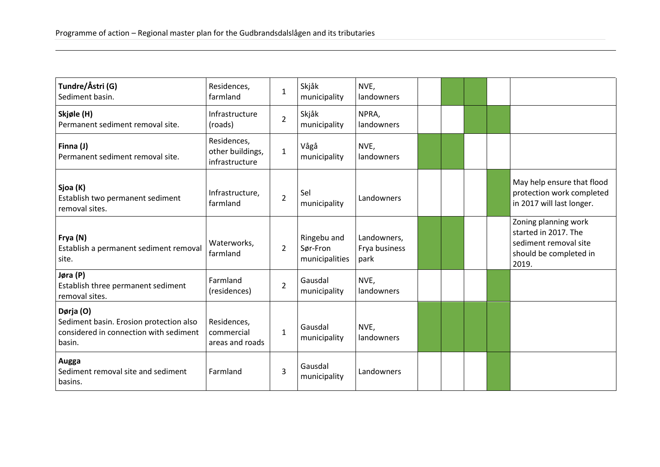| Tundre/Åstri (G)<br>Sediment basin.                                                                      | Residences,<br>farmland                           | $\mathbf{1}$   | Skjåk<br>municipality                     | NVE,<br>landowners                   |  |  |                                                                                                          |
|----------------------------------------------------------------------------------------------------------|---------------------------------------------------|----------------|-------------------------------------------|--------------------------------------|--|--|----------------------------------------------------------------------------------------------------------|
| Skjøle (H)<br>Permanent sediment removal site.                                                           | Infrastructure<br>(roads)                         | $\overline{2}$ | Skjåk<br>municipality                     | NPRA,<br>landowners                  |  |  |                                                                                                          |
| Finna (J)<br>Permanent sediment removal site.                                                            | Residences,<br>other buildings,<br>infrastructure | $\mathbf{1}$   | Vågå<br>municipality                      | NVE,<br>landowners                   |  |  |                                                                                                          |
| Sjoa (K)<br>Establish two permanent sediment<br>removal sites.                                           | Infrastructure,<br>farmland                       | $\overline{2}$ | Sel<br>municipality                       | Landowners                           |  |  | May help ensure that flood<br>protection work completed<br>in 2017 will last longer.                     |
| Frya (N)<br>Establish a permanent sediment removal<br>site.                                              | Waterworks,<br>farmland                           | $\overline{2}$ | Ringebu and<br>Sør-Fron<br>municipalities | Landowners,<br>Frya business<br>park |  |  | Zoning planning work<br>started in 2017. The<br>sediment removal site<br>should be completed in<br>2019. |
| Jøra (P)<br>Establish three permanent sediment<br>removal sites.                                         | Farmland<br>(residences)                          | $\overline{2}$ | Gausdal<br>municipality                   | NVE,<br>landowners                   |  |  |                                                                                                          |
| Dørja (O)<br>Sediment basin. Erosion protection also<br>considered in connection with sediment<br>basin. | Residences,<br>commercial<br>areas and roads      | $\mathbf{1}$   | Gausdal<br>municipality                   | NVE,<br>landowners                   |  |  |                                                                                                          |
| Augga<br>Sediment removal site and sediment<br>basins.                                                   | Farmland                                          | $\overline{3}$ | Gausdal<br>municipality                   | Landowners                           |  |  |                                                                                                          |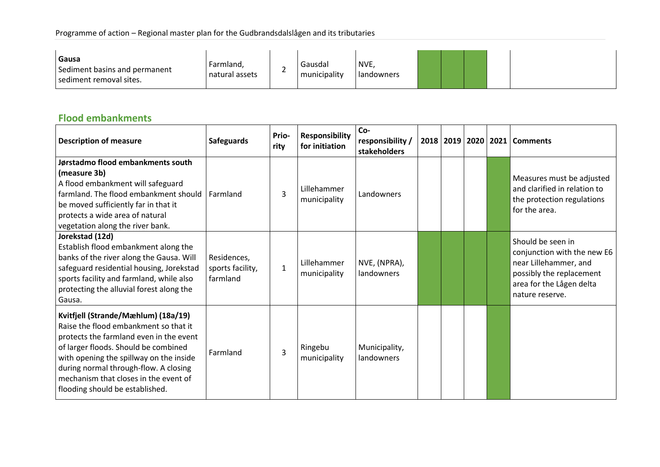| NVE,<br>Gausdal<br>Farmland,<br>Sediment basins and permanent<br>-<br>municipality<br>natural assets<br>l landowners<br>sediment removal sites. |  |  |  |  |  |  |  |  |  |  |  |  |  |  |  |  |  |  |  |  |  |  |  |  |  |  |  |  |  |  |  |  |  |  |  |  |  |  |  |  |  |  |  |  |  |  |  |  |  |  |  |  |  |  |  |  |  |  |  |  |  |  |  |  |  |  |  |  |  |  |  |  |  |  |  |  |  |  |  |  |  |  |  |  |  |  |  |  |  |  |  |  |  |  |  |  |  |  |  |  |  |  |  |  |  |  |  |  |  |  |  |  |  |  |  |  |  |  |  |  |  |  |  |  |  |  |  |  |  |  |  |  |  |  |  |  |  |  |  |  |  |  |  |  |  |  |
|-------------------------------------------------------------------------------------------------------------------------------------------------|--|--|--|--|--|--|--|--|--|--|--|--|--|--|--|--|--|--|--|--|--|--|--|--|--|--|--|--|--|--|--|--|--|--|--|--|--|--|--|--|--|--|--|--|--|--|--|--|--|--|--|--|--|--|--|--|--|--|--|--|--|--|--|--|--|--|--|--|--|--|--|--|--|--|--|--|--|--|--|--|--|--|--|--|--|--|--|--|--|--|--|--|--|--|--|--|--|--|--|--|--|--|--|--|--|--|--|--|--|--|--|--|--|--|--|--|--|--|--|--|--|--|--|--|--|--|--|--|--|--|--|--|--|--|--|--|--|--|--|--|--|--|--|--|--|--|
|-------------------------------------------------------------------------------------------------------------------------------------------------|--|--|--|--|--|--|--|--|--|--|--|--|--|--|--|--|--|--|--|--|--|--|--|--|--|--|--|--|--|--|--|--|--|--|--|--|--|--|--|--|--|--|--|--|--|--|--|--|--|--|--|--|--|--|--|--|--|--|--|--|--|--|--|--|--|--|--|--|--|--|--|--|--|--|--|--|--|--|--|--|--|--|--|--|--|--|--|--|--|--|--|--|--|--|--|--|--|--|--|--|--|--|--|--|--|--|--|--|--|--|--|--|--|--|--|--|--|--|--|--|--|--|--|--|--|--|--|--|--|--|--|--|--|--|--|--|--|--|--|--|--|--|--|--|--|--|

## **Flood embankments**

| <b>Description of measure</b>                                                                                                                                                                                                                                                                                                   | <b>Safeguards</b>                           | Prio-<br>rity | <b>Responsibility</b><br>for initiation | Co-<br>responsibility /<br>stakeholders |  |  | 2018   2019   2020   2021   Comments                                                                                                                 |
|---------------------------------------------------------------------------------------------------------------------------------------------------------------------------------------------------------------------------------------------------------------------------------------------------------------------------------|---------------------------------------------|---------------|-----------------------------------------|-----------------------------------------|--|--|------------------------------------------------------------------------------------------------------------------------------------------------------|
| Jørstadmo flood embankments south<br>(measure 3b)<br>A flood embankment will safeguard<br>farmland. The flood embankment should<br>be moved sufficiently far in that it<br>protects a wide area of natural<br>vegetation along the river bank.                                                                                  | Farmland                                    | 3             | Lillehammer<br>municipality             | Landowners                              |  |  | Measures must be adjusted<br>and clarified in relation to<br>the protection regulations<br>for the area.                                             |
| Jorekstad (12d)<br>Establish flood embankment along the<br>banks of the river along the Gausa. Will<br>safeguard residential housing, Jorekstad<br>sports facility and farmland, while also<br>protecting the alluvial forest along the<br>Gausa.                                                                               | Residences,<br>sports facility,<br>farmland | $\mathbf{1}$  | Lillehammer<br>municipality             | NVE, (NPRA),<br>landowners              |  |  | Should be seen in<br>conjunction with the new E6<br>near Lillehammer, and<br>possibly the replacement<br>area for the Lågen delta<br>nature reserve. |
| Kvitfjell (Strande/Mæhlum) (18a/19)<br>Raise the flood embankment so that it<br>protects the farmland even in the event<br>of larger floods. Should be combined<br>with opening the spillway on the inside<br>during normal through-flow. A closing<br>mechanism that closes in the event of<br>flooding should be established. | Farmland                                    | 3             | Ringebu<br>municipality                 | Municipality,<br>landowners             |  |  |                                                                                                                                                      |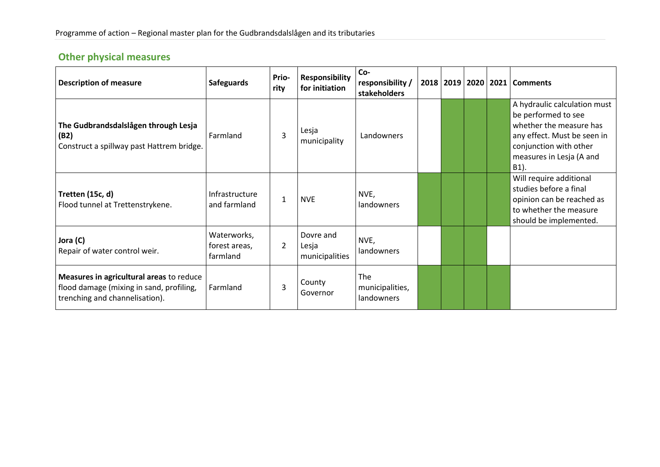# **Other physical measures**

| <b>Description of measure</b>                                                                                          | <b>Safeguards</b>                        | Prio-<br>rity  | <b>Responsibility</b><br>for initiation | Co-<br>responsibility /<br>stakeholders     |  | 2018 2019 2020 2021 | <b>Comments</b>                                                                                                                                                                |
|------------------------------------------------------------------------------------------------------------------------|------------------------------------------|----------------|-----------------------------------------|---------------------------------------------|--|---------------------|--------------------------------------------------------------------------------------------------------------------------------------------------------------------------------|
| The Gudbrandsdalslågen through Lesja<br>(B2)<br>Construct a spillway past Hattrem bridge.                              | Farmland                                 | 3              | Lesja<br>municipality                   | Landowners                                  |  |                     | A hydraulic calculation must<br>be performed to see<br>whether the measure has<br>any effect. Must be seen in<br>conjunction with other<br>measures in Lesja (A and<br>$B1$ ). |
| Tretten (15c, d)<br>Flood tunnel at Trettenstrykene.                                                                   | Infrastructure<br>and farmland           | $\mathbf{1}$   | <b>NVE</b>                              | NVE,<br>landowners                          |  |                     | Will require additional<br>studies before a final<br>opinion can be reached as<br>to whether the measure<br>should be implemented.                                             |
| Jora (C)<br>Repair of water control weir.                                                                              | Waterworks,<br>forest areas,<br>farmland | $\overline{2}$ | Dovre and<br>Lesja<br>municipalities    | NVE,<br>landowners                          |  |                     |                                                                                                                                                                                |
| Measures in agricultural areas to reduce<br>flood damage (mixing in sand, profiling,<br>trenching and channelisation). | Farmland                                 | 3              | County<br>Governor                      | <b>The</b><br>municipalities,<br>landowners |  |                     |                                                                                                                                                                                |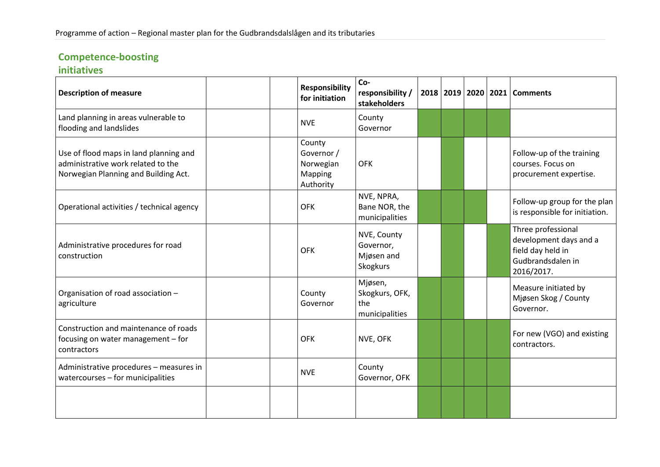# **Competence-boosting**

## **initiatives**

| <b>Description of measure</b>                                                                                        | <b>Responsibility</b><br>for initiation                   | Co-<br>responsibility /<br>stakeholders            |  |  | 2018   2019   2020   2021   Comments                                                                 |
|----------------------------------------------------------------------------------------------------------------------|-----------------------------------------------------------|----------------------------------------------------|--|--|------------------------------------------------------------------------------------------------------|
| Land planning in areas vulnerable to<br>flooding and landslides                                                      | <b>NVE</b>                                                | County<br>Governor                                 |  |  |                                                                                                      |
| Use of flood maps in land planning and<br>administrative work related to the<br>Norwegian Planning and Building Act. | County<br>Governor /<br>Norwegian<br>Mapping<br>Authority | <b>OFK</b>                                         |  |  | Follow-up of the training<br>courses. Focus on<br>procurement expertise.                             |
| Operational activities / technical agency                                                                            | <b>OFK</b>                                                | NVE, NPRA,<br>Bane NOR, the<br>municipalities      |  |  | Follow-up group for the plan<br>is responsible for initiation.                                       |
| Administrative procedures for road<br>construction                                                                   | <b>OFK</b>                                                | NVE, County<br>Governor,<br>Mjøsen and<br>Skogkurs |  |  | Three professional<br>development days and a<br>field day held in<br>Gudbrandsdalen in<br>2016/2017. |
| Organisation of road association -<br>agriculture                                                                    | County<br>Governor                                        | Mjøsen,<br>Skogkurs, OFK,<br>the<br>municipalities |  |  | Measure initiated by<br>Mjøsen Skog / County<br>Governor.                                            |
| Construction and maintenance of roads<br>focusing on water management - for<br>contractors                           | <b>OFK</b>                                                | NVE, OFK                                           |  |  | For new (VGO) and existing<br>contractors.                                                           |
| Administrative procedures - measures in<br>watercourses - for municipalities                                         | <b>NVE</b>                                                | County<br>Governor, OFK                            |  |  |                                                                                                      |
|                                                                                                                      |                                                           |                                                    |  |  |                                                                                                      |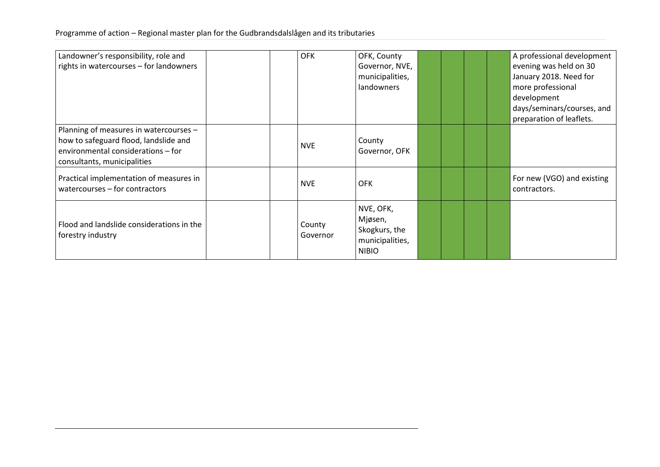#### Programme of action – Regional master plan for the Gudbrandsdalslågen and its tributaries

| Landowner's responsibility, role and<br>rights in watercourses - for landowners                                                                      | <b>OFK</b>         | OFK, County<br>Governor, NVE,<br>municipalities,<br>landowners           |  |  | A professional development<br>evening was held on 30<br>January 2018. Need for<br>more professional<br>development<br>days/seminars/courses, and<br>preparation of leaflets. |
|------------------------------------------------------------------------------------------------------------------------------------------------------|--------------------|--------------------------------------------------------------------------|--|--|------------------------------------------------------------------------------------------------------------------------------------------------------------------------------|
| Planning of measures in watercourses -<br>how to safeguard flood, landslide and<br>environmental considerations - for<br>consultants, municipalities | <b>NVE</b>         | County<br>Governor, OFK                                                  |  |  |                                                                                                                                                                              |
| Practical implementation of measures in<br>watercourses - for contractors                                                                            | <b>NVE</b>         | <b>OFK</b>                                                               |  |  | For new (VGO) and existing<br>contractors.                                                                                                                                   |
| Flood and landslide considerations in the<br>forestry industry                                                                                       | County<br>Governor | NVE, OFK,<br>Mjøsen,<br>Skogkurs, the<br>municipalities,<br><b>NIBIO</b> |  |  |                                                                                                                                                                              |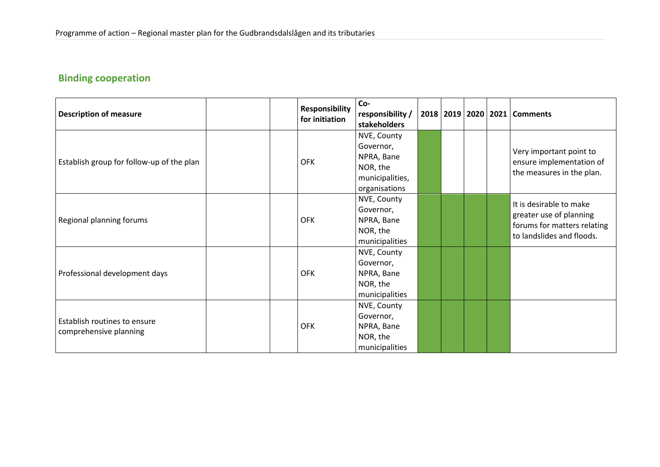# **Binding cooperation**

|                                           | <b>Responsibility</b> | Co-              |  |  |                                      |
|-------------------------------------------|-----------------------|------------------|--|--|--------------------------------------|
| <b>Description of measure</b>             | for initiation        | responsibility / |  |  | 2018   2019   2020   2021   Comments |
|                                           |                       | stakeholders     |  |  |                                      |
|                                           |                       | NVE, County      |  |  |                                      |
|                                           |                       | Governor,        |  |  |                                      |
|                                           | <b>OFK</b>            | NPRA, Bane       |  |  | Very important point to              |
| Establish group for follow-up of the plan |                       | NOR, the         |  |  | ensure implementation of             |
|                                           |                       | municipalities,  |  |  | the measures in the plan.            |
|                                           |                       | organisations    |  |  |                                      |
|                                           |                       | NVE, County      |  |  |                                      |
|                                           |                       | Governor,        |  |  | It is desirable to make              |
| Regional planning forums                  | <b>OFK</b>            | NPRA, Bane       |  |  | greater use of planning              |
|                                           |                       | NOR, the         |  |  | forums for matters relating          |
|                                           |                       | municipalities   |  |  | to landslides and floods.            |
|                                           |                       | NVE, County      |  |  |                                      |
|                                           |                       | Governor,        |  |  |                                      |
| Professional development days             | <b>OFK</b>            | NPRA, Bane       |  |  |                                      |
|                                           |                       | NOR, the         |  |  |                                      |
|                                           |                       | municipalities   |  |  |                                      |
|                                           |                       | NVE, County      |  |  |                                      |
|                                           |                       | Governor,        |  |  |                                      |
| Establish routines to ensure              | <b>OFK</b>            | NPRA, Bane       |  |  |                                      |
| comprehensive planning                    |                       | NOR, the         |  |  |                                      |
|                                           |                       | municipalities   |  |  |                                      |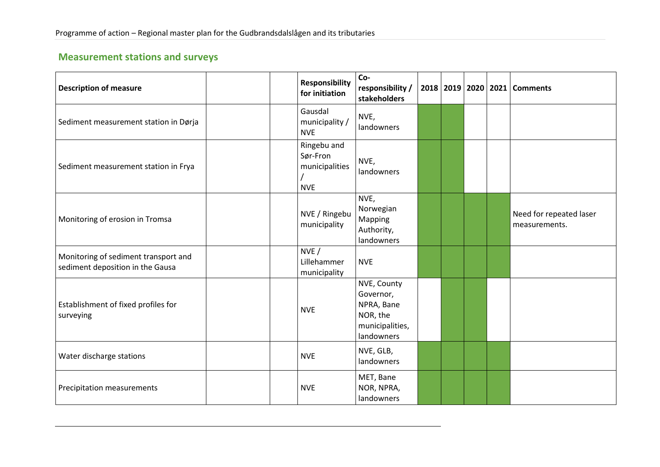# **Measurement stations and surveys**

| <b>Description of measure</b>                                            | <b>Responsibility</b><br>for initiation                 | Co-<br>responsibility /<br>stakeholders                                             |  |  | 2018   2019   2020   2021   Comments     |
|--------------------------------------------------------------------------|---------------------------------------------------------|-------------------------------------------------------------------------------------|--|--|------------------------------------------|
| Sediment measurement station in Dørja                                    | Gausdal<br>municipality /<br><b>NVE</b>                 | NVE,<br>landowners                                                                  |  |  |                                          |
| Sediment measurement station in Frya                                     | Ringebu and<br>Sør-Fron<br>municipalities<br><b>NVE</b> | NVE,<br>landowners                                                                  |  |  |                                          |
| Monitoring of erosion in Tromsa                                          | NVE / Ringebu<br>municipality                           | NVE,<br>Norwegian<br>Mapping<br>Authority,<br>landowners                            |  |  | Need for repeated laser<br>measurements. |
| Monitoring of sediment transport and<br>sediment deposition in the Gausa | NVE/<br>Lillehammer<br>municipality                     | <b>NVE</b>                                                                          |  |  |                                          |
| Establishment of fixed profiles for<br>surveying                         | <b>NVE</b>                                              | NVE, County<br>Governor,<br>NPRA, Bane<br>NOR, the<br>municipalities,<br>landowners |  |  |                                          |
| Water discharge stations                                                 | <b>NVE</b>                                              | NVE, GLB,<br>landowners                                                             |  |  |                                          |
| Precipitation measurements                                               | <b>NVE</b>                                              | MET, Bane<br>NOR, NPRA,<br>landowners                                               |  |  |                                          |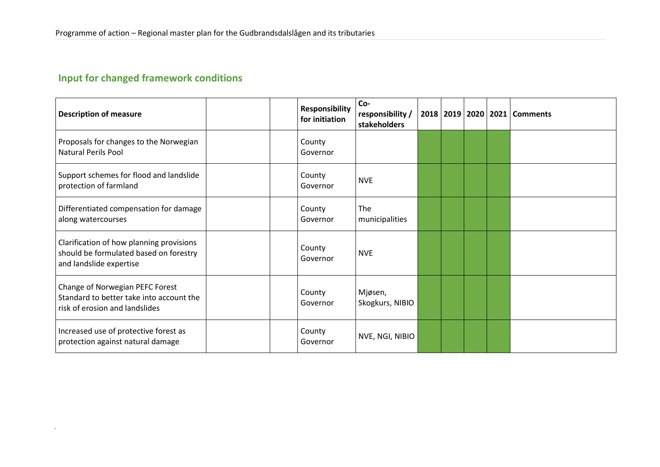# **Input for changed framework conditions**

| <b>Description of measure</b>                                                                                 | <b>Responsibility</b><br>for initiation | Co-<br>responsibility /<br>stakeholders |  |  | 2018   2019   2020   2021   Comments |
|---------------------------------------------------------------------------------------------------------------|-----------------------------------------|-----------------------------------------|--|--|--------------------------------------|
| Proposals for changes to the Norwegian<br><b>Natural Perils Pool</b>                                          | County<br>Governor                      |                                         |  |  |                                      |
| Support schemes for flood and landslide<br>protection of farmland                                             | County<br>Governor                      | <b>NVE</b>                              |  |  |                                      |
| Differentiated compensation for damage<br>along watercourses                                                  | County<br>Governor                      | The<br>municipalities                   |  |  |                                      |
| Clarification of how planning provisions<br>should be formulated based on forestry<br>and landslide expertise | County<br>Governor                      | <b>NVE</b>                              |  |  |                                      |
| Change of Norwegian PEFC Forest<br>Standard to better take into account the<br>risk of erosion and landslides | County<br>Governor                      | Mjøsen,<br>Skogkurs, NIBIO              |  |  |                                      |
| Increased use of protective forest as<br>protection against natural damage                                    | County<br>Governor                      | NVE, NGI, NIBIO                         |  |  |                                      |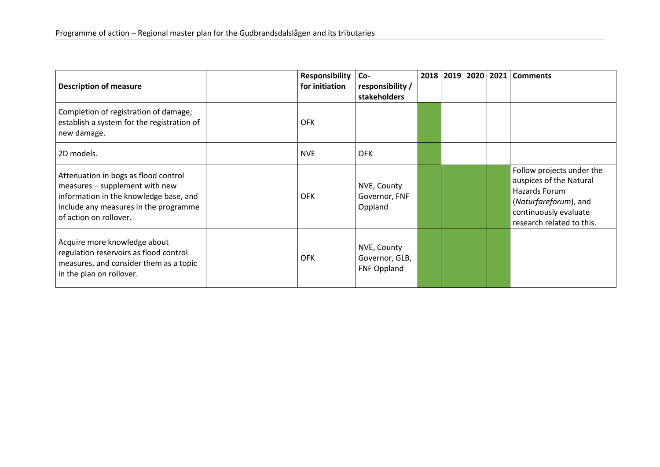| <b>Description of measure</b>                                                                                                                                                       | <b>Responsibility</b><br>for initiation | Co-<br>responsibility /<br>stakeholders             |  | 2018   2019   2020 | 2021 | <b>Comments</b>                                                                                                                                      |
|-------------------------------------------------------------------------------------------------------------------------------------------------------------------------------------|-----------------------------------------|-----------------------------------------------------|--|--------------------|------|------------------------------------------------------------------------------------------------------------------------------------------------------|
| Completion of registration of damage;<br>establish a system for the registration of<br>new damage.                                                                                  | <b>OFK</b>                              |                                                     |  |                    |      |                                                                                                                                                      |
| 2D models.                                                                                                                                                                          | <b>NVE</b>                              | <b>OFK</b>                                          |  |                    |      |                                                                                                                                                      |
| Attenuation in bogs as flood control<br>measures - supplement with new<br>information in the knowledge base, and<br>include any measures in the programme<br>of action on rollover. | <b>OFK</b>                              | NVE, County<br>Governor, FNF<br>Oppland             |  |                    |      | Follow projects under the<br>auspices of the Natural<br>Hazards Forum<br>(Naturfareforum), and<br>continuously evaluate<br>research related to this. |
| Acquire more knowledge about<br>regulation reservoirs as flood control<br>measures, and consider them as a topic<br>in the plan on rollover.                                        | <b>OFK</b>                              | NVE, County<br>Governor, GLB,<br><b>FNF Oppland</b> |  |                    |      |                                                                                                                                                      |